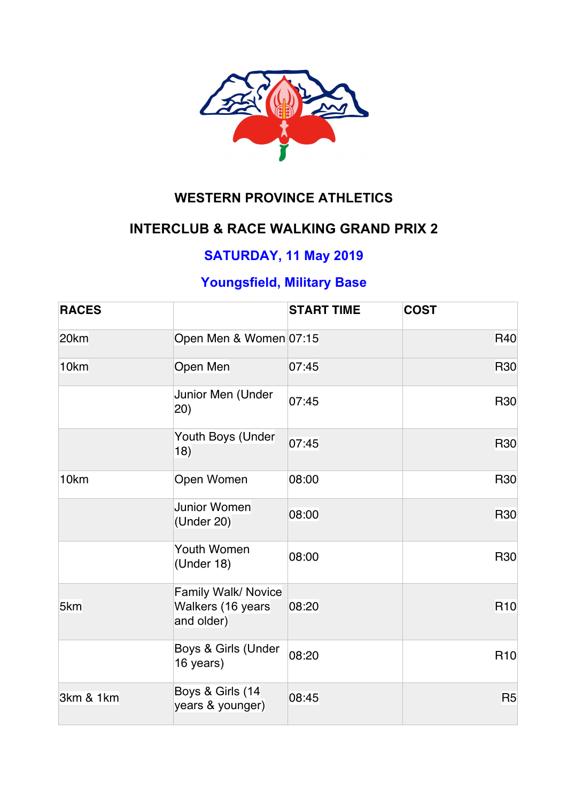

# **WESTERN PROVINCE ATHLETICS**

# **INTERCLUB & RACE WALKING GRAND PRIX 2**

# **SATURDAY, 11 May 2019**

# **Youngsfield, Military Base**

| <b>RACES</b> |                                                               | <b>START TIME</b> | <b>COST</b>     |
|--------------|---------------------------------------------------------------|-------------------|-----------------|
| 20km         | Open Men & Women 07:15                                        |                   | <b>R40</b>      |
| 10km         | Open Men                                                      | 07:45             | <b>R30</b>      |
|              | Junior Men (Under<br>(20)                                     | 07:45             | <b>R30</b>      |
|              | Youth Boys (Under<br>18)                                      | 07:45             | <b>R30</b>      |
| 10km         | Open Women                                                    | 08:00             | <b>R30</b>      |
|              | Junior Women<br>(Under 20)                                    | 08:00             | <b>R30</b>      |
|              | Youth Women<br>(Under 18)                                     | 08:00             | <b>R30</b>      |
| 5km          | <b>Family Walk/ Novice</b><br>Walkers (16 years<br>and older) | 08:20             | R <sub>10</sub> |
|              | Boys & Girls (Under<br>16 years)                              | 08:20             | R <sub>10</sub> |
| 3km & 1km    | Boys & Girls (14<br>years & younger)                          | 08:45             | R <sub>5</sub>  |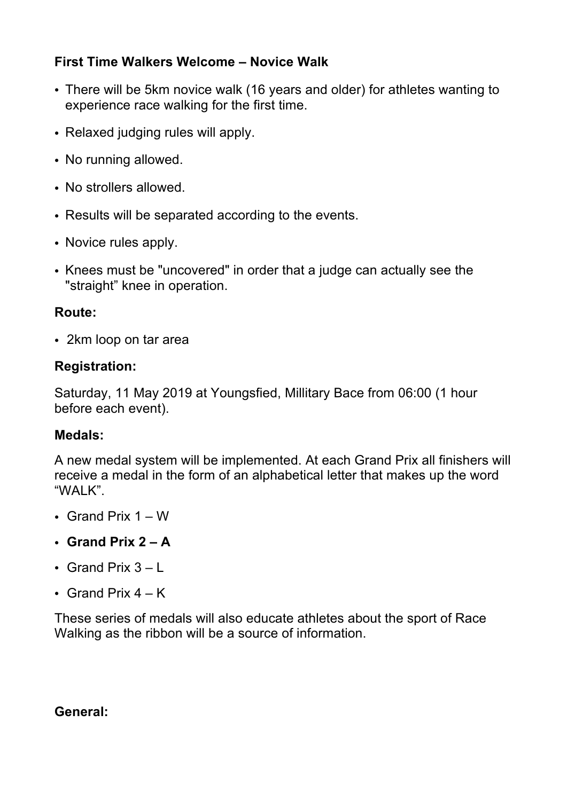#### **First Time Walkers Welcome – Novice Walk**

- There will be 5km novice walk (16 years and older) for athletes wanting to experience race walking for the first time.
- Relaxed judging rules will apply.
- No running allowed.
- No strollers allowed.
- Results will be separated according to the events.
- Novice rules apply.
- Knees must be "uncovered" in order that a judge can actually see the "straight" knee in operation.

### **Route:**

• 2km loop on tar area

## **Registration:**

Saturday, 11 May 2019 at Youngsfied, Millitary Bace from 06:00 (1 hour before each event).

## **Medals:**

A new medal system will be implemented. At each Grand Prix all finishers will receive a medal in the form of an alphabetical letter that makes up the word "WALK".

- Grand Prix 1 W
- **Grand Prix 2 – A**
- Grand Prix  $3 L$
- Grand Prix  $4 K$

These series of medals will also educate athletes about the sport of Race Walking as the ribbon will be a source of information.

#### **General:**